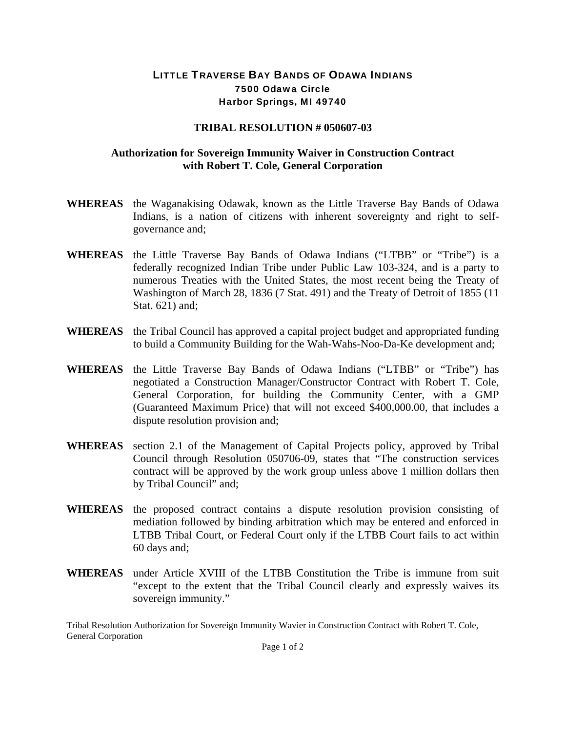## LITTLE TRAVERSE BAY BANDS OF ODAWA INDIANS 7500 Odawa Circle Harbor Springs, MI 49740

## **TRIBAL RESOLUTION # 050607-03**

## **Authorization for Sovereign Immunity Waiver in Construction Contract with Robert T. Cole, General Corporation**

- **WHEREAS** the Waganakising Odawak, known as the Little Traverse Bay Bands of Odawa Indians, is a nation of citizens with inherent sovereignty and right to selfgovernance and;
- **WHEREAS** the Little Traverse Bay Bands of Odawa Indians ("LTBB" or "Tribe") is a federally recognized Indian Tribe under Public Law 103-324, and is a party to numerous Treaties with the United States, the most recent being the Treaty of Washington of March 28, 1836 (7 Stat. 491) and the Treaty of Detroit of 1855 (11 Stat. 621) and;
- **WHEREAS** the Tribal Council has approved a capital project budget and appropriated funding to build a Community Building for the Wah-Wahs-Noo-Da-Ke development and;
- **WHEREAS** the Little Traverse Bay Bands of Odawa Indians ("LTBB" or "Tribe") has negotiated a Construction Manager/Constructor Contract with Robert T. Cole, General Corporation, for building the Community Center, with a GMP (Guaranteed Maximum Price) that will not exceed \$400,000.00, that includes a dispute resolution provision and;
- **WHEREAS** section 2.1 of the Management of Capital Projects policy, approved by Tribal Council through Resolution 050706-09, states that "The construction services contract will be approved by the work group unless above 1 million dollars then by Tribal Council" and;
- **WHEREAS** the proposed contract contains a dispute resolution provision consisting of mediation followed by binding arbitration which may be entered and enforced in LTBB Tribal Court, or Federal Court only if the LTBB Court fails to act within 60 days and;
- **WHEREAS** under Article XVIII of the LTBB Constitution the Tribe is immune from suit "except to the extent that the Tribal Council clearly and expressly waives its sovereign immunity."

Tribal Resolution Authorization for Sovereign Immunity Wavier in Construction Contract with Robert T. Cole, General Corporation